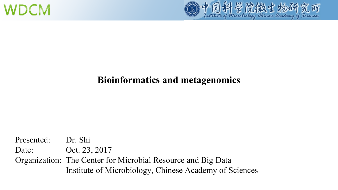

# **Bioinformatics and metagenomics**

Presented: Dr. Shi Date: **Oct. 23, 2017** Organization: The Center for Microbial Resource and Big Data Institute of Microbiology, Chinese Academy of Sciences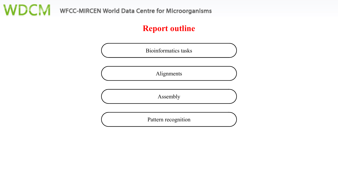**WDCM WFCC-MIRCEN World Data Centre for Microorganisms** 

### **Report outline**

Bioinformatics tasks

Alignments

Assembly

Pattern recognition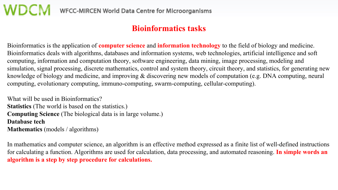### **Bioinformatics tasks**

Bioinformatics is the application of **computer science** and **information technology** to the field of biology and medicine. Bioinformatics deals with algorithms, databases and information systems, web technologies, artificial intelligence and soft computing, information and computation theory, software engineering, data mining, image processing, modeling and simulation, signal processing, discrete mathematics, control and system theory, circuit theory, and statistics, for generating new knowledge of biology and medicine, and improving & discovering new models of computation (e.g. DNA computing, neural computing, evolutionary computing, immuno-computing, swarm-computing, cellular-computing).

What will be used in Bioinformatics? **Statistics** (The world is based on the statistics.) **Computing Science** (The biological data is in large volume.) **Database tech Mathematics** (models / algorithms)

In mathematics and computer science, an algorithm is an effective method expressed as a finite list of well-defined instructions for calculating a function. Algorithms are used for calculation, data processing, and automated reasoning. **In simple words an algorithm is a step by step procedure for calculations.**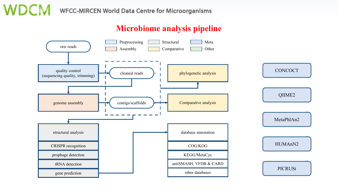

#### **Microbiome analysis pipeline**